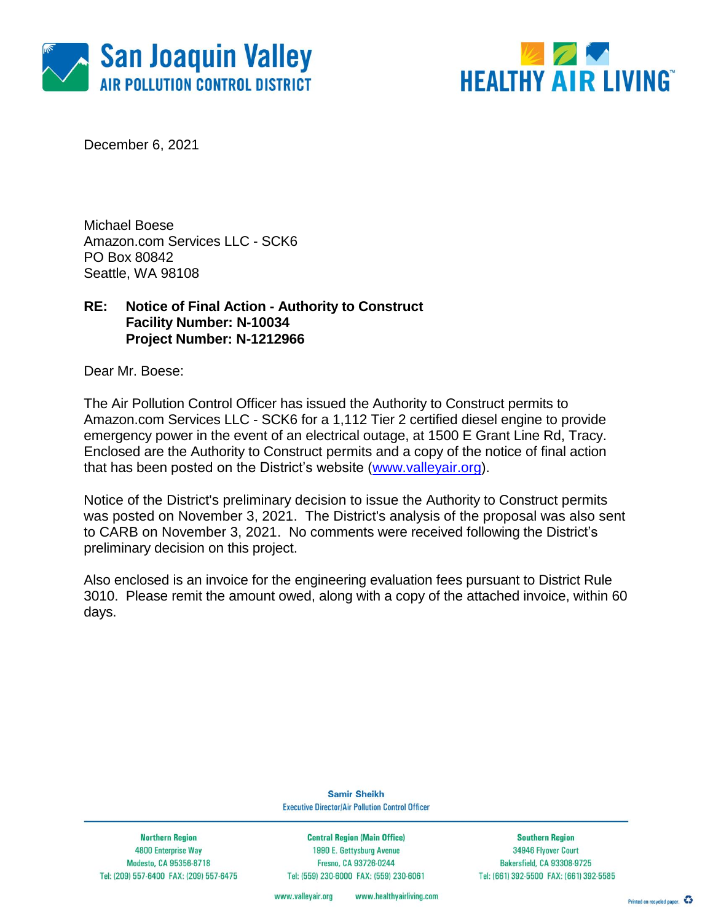



December 6, 2021

Michael Boese Amazon.com Services LLC - SCK6 PO Box 80842 Seattle, WA 98108

### **RE: Notice of Final Action - Authority to Construct Facility Number: N-10034 Project Number: N-1212966**

Dear Mr. Boese:

The Air Pollution Control Officer has issued the Authority to Construct permits to Amazon.com Services LLC - SCK6 for a 1,112 Tier 2 certified diesel engine to provide emergency power in the event of an electrical outage, at 1500 E Grant Line Rd, Tracy. Enclosed are the Authority to Construct permits and a copy of the notice of final action that has been posted on the District's website [\(www.valleyair.org\)](http://www.valleyair.org/).

Notice of the District's preliminary decision to issue the Authority to Construct permits was posted on November 3, 2021. The District's analysis of the proposal was also sent to CARB on November 3, 2021. No comments were received following the District's preliminary decision on this project.

Also enclosed is an invoice for the engineering evaluation fees pursuant to District Rule 3010. Please remit the amount owed, along with a copy of the attached invoice, within 60 days.

> **Samir Sheikh Executive Director/Air Pollution Control Officer**

**Northern Region** 4800 Enterprise Way Modesto, CA 95356-8718 Tel: (209) 557-6400 FAX: (209) 557-6475

**Central Region (Main Office)** 1990 E. Gettysburg Avenue Fresno, CA 93726-0244 Tel: (559) 230-6000 FAX: (559) 230-6061

**Southern Region** 34946 Flyover Court Bakersfield, CA 93308-9725 Tel: (661) 392-5500 FAX: (661) 392-5585

www.healthyairliving.com www.valleyair.org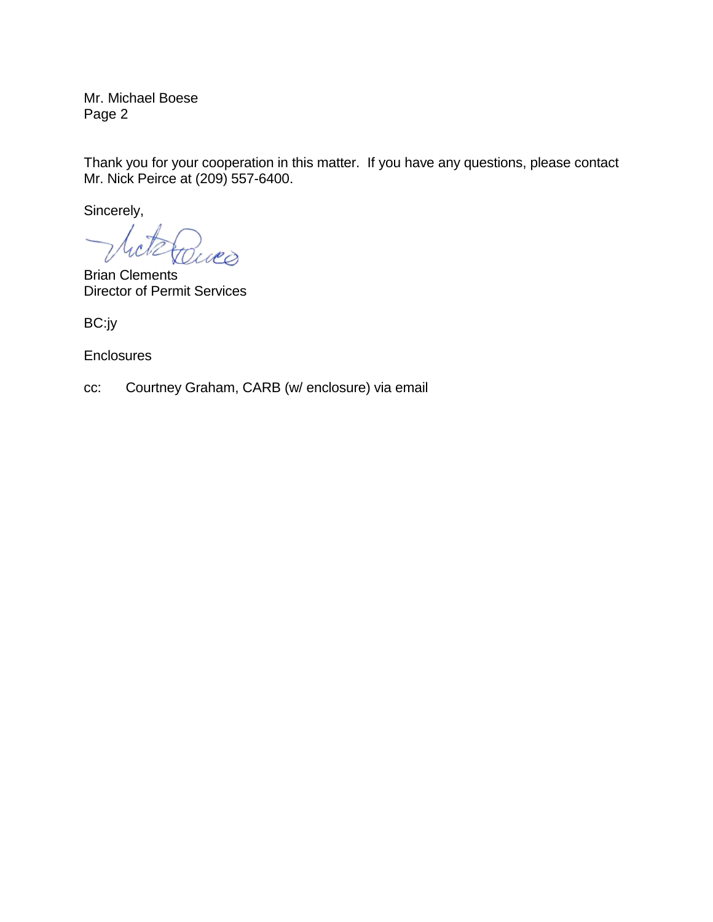Mr. Michael Boese Page 2

Thank you for your cooperation in this matter. If you have any questions, please contact Mr. Nick Peirce at (209) 557-6400.

Sincerely,

.<br>M ræs

Brian Clements Director of Permit Services

BC:jy

**Enclosures** 

cc: Courtney Graham, CARB (w/ enclosure) via email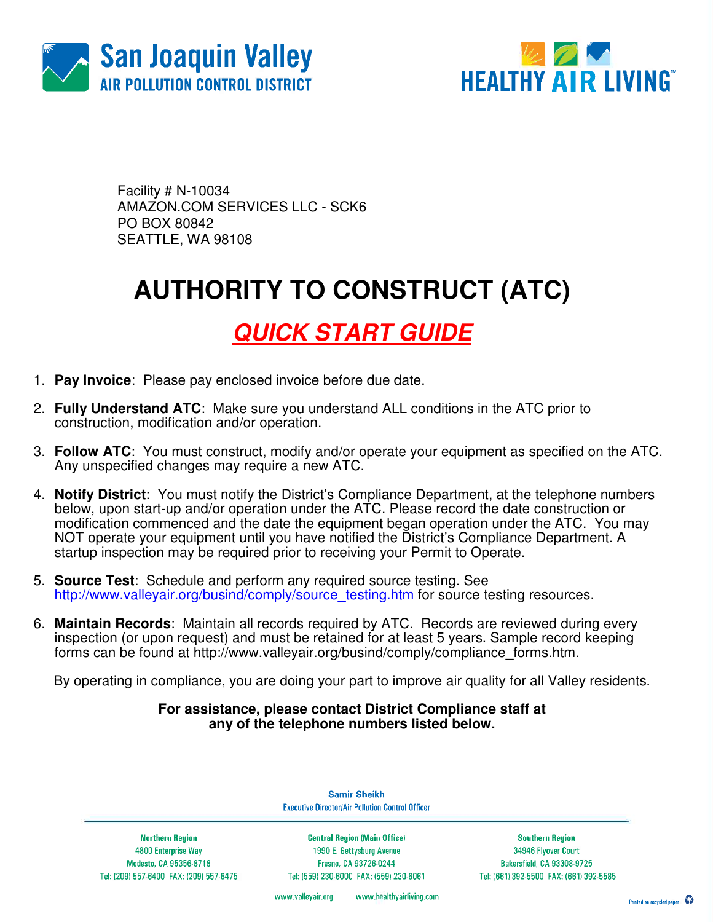



Facility # N-10034 AMAZON.COM SERVICES LLC - SCK6 PO BOX 80842 SEATTLE, WA 98108

## **AUTHORITY TO CONSTRUCT (ATC)**

### **QUICK START GUIDE**

- 1. **Pay Invoice**: Please pay enclosed invoice before due date.
- 2. **Fully Understand ATC**: Make sure you understand ALL conditions in the ATC prior to construction, modification and/or operation.
- 3. **Follow ATC**: You must construct, modify and/or operate your equipment as specified on the ATC. Any unspecified changes may require a new ATC.
- 4. **Notify District**: You must notify the District's Compliance Department, at the telephone numbers below, upon start-up and/or operation under the ATC. Please record the date construction or modification commenced and the date the equipment began operation under the ATC. You may NOT operate your equipment until you have notified the District's Compliance Department. A startup inspection may be required prior to receiving your Permit to Operate.
- 5. **Source Test**:Schedule and perform any required source testing. See http://www.valleyair.org/busind/comply/source\_testing.htm for source testing resources.
- 6. **Maintain Records**:Maintain all records required by ATC. Records are reviewed during every inspection (or upon request) and must be retained for at least 5 years. Sample record keeping forms can be found at http://www.valleyair.org/busind/comply/compliance\_forms.htm.

By operating in compliance, you are doing your part to improve air quality for all Valley residents.

#### **For assistance, please contact District Compliance staff at any of the telephone numbers listed below.**

**Executive Director/Air Pollution Control Officer** 

**Northern Region** 4800 Enterprise Way Modesto, CA 95356-8718 Tel: (209) 557-6400 FAX: (209) 557-6475

**Central Region (Main Office)** 1990 E. Gettysburg Avenue Fresno, CA 93726-0244 Tel: (559) 230-6000 FAX: (559) 230-6061

**Samir Sheikh** 

**Southern Region** 34946 Flyover Court Bakersfield, CA 93308-9725 Tel: (661) 392-5500 FAX: (661) 392-5585

www.valleyair.org www.healthyairliving.com

Printed on recycled paper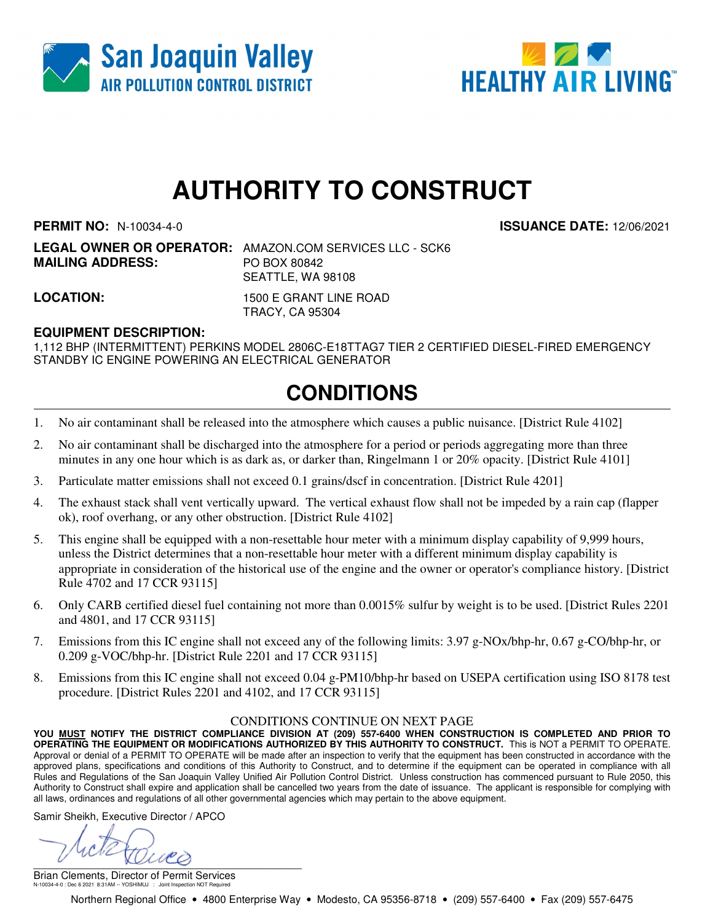



# **AUTHORITY TO CONSTRUCT**

**PERMIT NO:** N-10034-4-0 **ISSUANCE DATE:** 12/06/2021

**LEGAL OWNER OR OPERATOR:** AMAZON.COM SERVICES LLC - SCK6 **MAILING ADDRESS:** PO BOX 80842 SEATTLE, WA 98108

**LOCATION:** 1500 E GRANT LINE ROAD TRACY, CA 95304

#### **EQUIPMENT DESCRIPTION:**

1,112 BHP (INTERMITTENT) PERKINS MODEL 2806C-E18TTAG7 TIER 2 CERTIFIED DIESEL-FIRED EMERGENCY STANDBY IC ENGINE POWERING AN ELECTRICAL GENERATOR

### **CONDITIONS**

- 1. No air contaminant shall be released into the atmosphere which causes a public nuisance. [District Rule 4102]
- 2. No air contaminant shall be discharged into the atmosphere for a period or periods aggregating more than three minutes in any one hour which is as dark as, or darker than, Ringelmann 1 or 20% opacity. [District Rule 4101]
- 3. Particulate matter emissions shall not exceed 0.1 grains/dscf in concentration. [District Rule 4201]
- 4. The exhaust stack shall vent vertically upward. The vertical exhaust flow shall not be impeded by a rain cap (flapper ok), roof overhang, or any other obstruction. [District Rule 4102]
- 5. This engine shall be equipped with a non-resettable hour meter with a minimum display capability of 9,999 hours, unless the District determines that a non-resettable hour meter with a different minimum display capability is appropriate in consideration of the historical use of the engine and the owner or operator's compliance history. [District Rule 4702 and 17 CCR 93115]
- 6. Only CARB certified diesel fuel containing not more than 0.0015% sulfur by weight is to be used. [District Rules 2201 and 4801, and 17 CCR 93115]
- 7. Emissions from this IC engine shall not exceed any of the following limits: 3.97 g-NOx/bhp-hr, 0.67 g-CO/bhp-hr, or 0.209 g-VOC/bhp-hr. [District Rule 2201 and 17 CCR 93115]
- 8. Emissions from this IC engine shall not exceed 0.04 g-PM10/bhp-hr based on USEPA certification using ISO 8178 test procedure. [District Rules 2201 and 4102, and 17 CCR 93115]

#### CONDITIONS CONTINUE ON NEXT PAGE

**YOU MUST NOTIFY THE DISTRICT COMPLIANCE DIVISION AT (209) 557-6400 WHEN CONSTRUCTION IS COMPLETED AND PRIOR TO OPERATING THE EQUIPMENT OR MODIFICATIONS AUTHORIZED BY THIS AUTHORITY TO CONSTRUCT.** This is NOT a PERMIT TO OPERATE. Approval or denial of a PERMIT TO OPERATE will be made after an inspection to verify that the equipment has been constructed in accordance with the approved plans, specifications and conditions of this Authority to Construct, and to determine if the equipment can be operated in compliance with all Rules and Regulations of the San Joaquin Valley Unified Air Pollution Control District. Unless construction has commenced pursuant to Rule 2050, this Authority to Construct shall expire and application shall be cancelled two years from the date of issuance. The applicant is responsible for complying with all laws, ordinances and regulations of all other governmental agencies which may pertain to the above equipment.

Samir Sheikh, Executive Director / APCO

 $\frac{1}{2}$ 

Brian Clements, Director of Permit Services N-10034-4-0 : Dec 6 2021 8:31AM -- YOSHIMUJ : Joint Inspection NOT Required

Northern Regional Office • 4800 Enterprise Way • Modesto, CA 95356-8718 • (209) 557-6400 • Fax (209) 557-6475